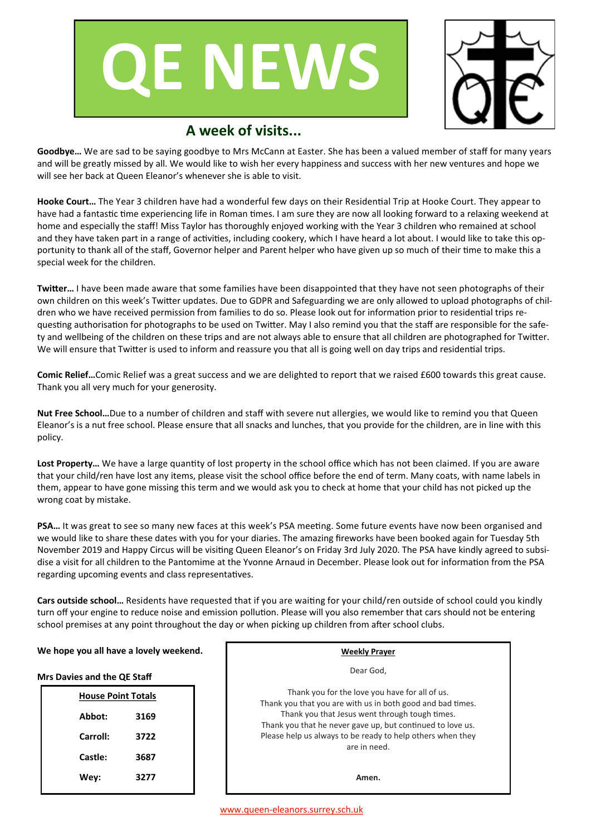



# **A week of visits...**

**Goodbye…** We are sad to be saying goodbye to Mrs McCann at Easter. She has been a valued member of staff for many years and will be greatly missed by all. We would like to wish her every happiness and success with her new ventures and hope we will see her back at Queen Eleanor's whenever she is able to visit.

**Hooke Court…** The Year 3 children have had a wonderful few days on their Residential Trip at Hooke Court. They appear to have had a fantastic time experiencing life in Roman times. I am sure they are now all looking forward to a relaxing weekend at home and especially the staff! Miss Taylor has thoroughly enjoyed working with the Year 3 children who remained at school and they have taken part in a range of activities, including cookery, which I have heard a lot about. I would like to take this opportunity to thank all of the staff, Governor helper and Parent helper who have given up so much of their time to make this a special week for the children.

**Twitter…** I have been made aware that some families have been disappointed that they have not seen photographs of their own children on this week's Twitter updates. Due to GDPR and Safeguarding we are only allowed to upload photographs of children who we have received permission from families to do so. Please look out for information prior to residential trips requesting authorisation for photographs to be used on Twitter. May I also remind you that the staff are responsible for the safety and wellbeing of the children on these trips and are not always able to ensure that all children are photographed for Twitter. We will ensure that Twitter is used to inform and reassure you that all is going well on day trips and residential trips.

**Comic Relief…**Comic Relief was a great success and we are delighted to report that we raised £600 towards this great cause. Thank you all very much for your generosity.

**Nut Free School…**Due to a number of children and staff with severe nut allergies, we would like to remind you that Queen Eleanor's is a nut free school. Please ensure that all snacks and lunches, that you provide for the children, are in line with this policy.

**Lost Property…** We have a large quantity of lost property in the school office which has not been claimed. If you are aware that your child/ren have lost any items, please visit the school office before the end of term. Many coats, with name labels in them, appear to have gone missing this term and we would ask you to check at home that your child has not picked up the wrong coat by mistake.

**PSA…** It was great to see so many new faces at this week's PSA meeting. Some future events have now been organised and we would like to share these dates with you for your diaries. The amazing fireworks have been booked again for Tuesday 5th November 2019 and Happy Circus will be visiting Queen Eleanor's on Friday 3rd July 2020. The PSA have kindly agreed to subsidise a visit for all children to the Pantomime at the Yvonne Arnaud in December. Please look out for information from the PSA regarding upcoming events and class representatives.

**Cars outside school…** Residents have requested that if you are waiting for your child/ren outside of school could you kindly turn off your engine to reduce noise and emission pollution. Please will you also remember that cars should not be entering school premises at any point throughout the day or when picking up children from after school clubs.

#### **We hope you all have a lovely weekend.**

**Mrs Davies and the QE Staff** 

|          | <b>House Point Totals</b> |  |  |  |
|----------|---------------------------|--|--|--|
| Abbot:   | 3169                      |  |  |  |
| Carroll: | 3722                      |  |  |  |
| Castle:  | 3687                      |  |  |  |
| Wey:     | 3277                      |  |  |  |

| Weekly Prayer                                                                                                                                                                                                                                                                                              |  |  |  |  |
|------------------------------------------------------------------------------------------------------------------------------------------------------------------------------------------------------------------------------------------------------------------------------------------------------------|--|--|--|--|
| Dear God.                                                                                                                                                                                                                                                                                                  |  |  |  |  |
| Thank you for the love you have for all of us.<br>Thank you that you are with us in both good and bad times.<br>Thank you that Jesus went through tough times.<br>Thank you that he never gave up, but continued to love us.<br>Please help us always to be ready to help others when they<br>are in need. |  |  |  |  |
| Amen.                                                                                                                                                                                                                                                                                                      |  |  |  |  |